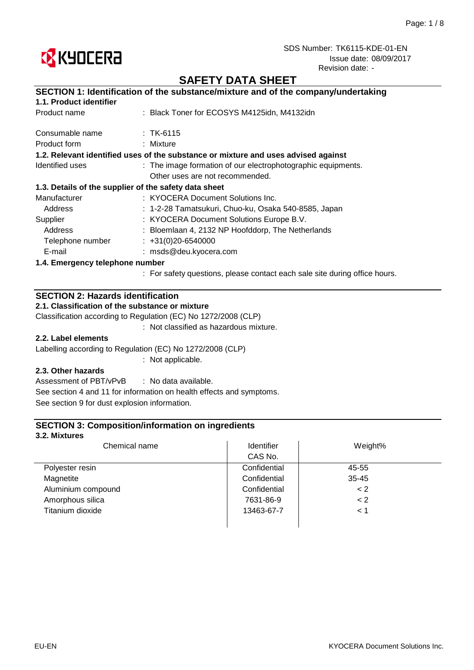

## **SAFETY DATA SHEET**

#### : Black Toner for ECOSYS M4125idn, M4132idn **SECTION 1: Identification of the substance/mixture and of the company/undertaking 1.1. Product identifier** Product name

| Consumable name                 | $\div$ TK-6115                                                                     |
|---------------------------------|------------------------------------------------------------------------------------|
| Product form                    | : Mixture                                                                          |
|                                 | 1.2. Relevant identified uses of the substance or mixture and uses advised against |
| Identified uses                 | : The image formation of our electrophotographic equipments.                       |
|                                 | Other uses are not recommended.                                                    |
|                                 | 1.3. Details of the supplier of the safety data sheet                              |
| Manufacturer                    | : KYOCERA Document Solutions Inc.                                                  |
| Address                         | : 1-2-28 Tamatsukuri, Chuo-ku, Osaka 540-8585, Japan                               |
| Supplier                        | : KYOCERA Document Solutions Europe B.V.                                           |
| Address                         | : Bloemlaan 4, 2132 NP Hoofddorp, The Netherlands                                  |
| Telephone number                | $\div$ +31(0)20-6540000                                                            |
| E-mail                          | : msds@deu.kyocera.com                                                             |
| 1.4. Emergency telephone number |                                                                                    |
|                                 |                                                                                    |

: For safety questions, please contact each sale site during office hours.

## **SECTION 2: Hazards identification**

## **2.1. Classification of the substance or mixture**

Classification according to Regulation (EC) No 1272/2008 (CLP)

: Not classified as hazardous mixture.

## **2.2. Label elements**

Labelling according to Regulation (EC) No 1272/2008 (CLP)

: Not applicable.

## **2.3. Other hazards**

: No data available. See section 9 for dust explosion information. Assessment of PBT/vPvB See section 4 and 11 for information on health effects and symptoms.

## **SECTION 3: Composition/information on ingredients**

## **3.2. Mixtures**

| Chemical name      | Identifier   | Weight%   |
|--------------------|--------------|-----------|
|                    | CAS No.      |           |
| Polyester resin    | Confidential | 45-55     |
| Magnetite          | Confidential | $35 - 45$ |
| Aluminium compound | Confidential | $\lt 2$   |
| Amorphous silica   | 7631-86-9    | < 2       |
| Titanium dioxide   | 13463-67-7   | < 1       |
|                    |              |           |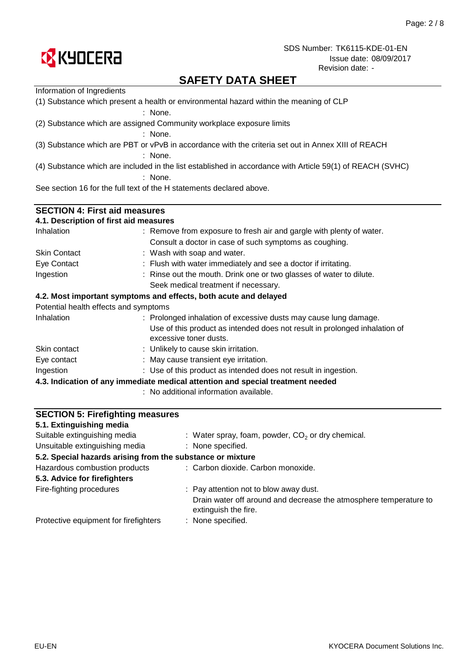

# **SAFETY DATA SHEET**

| Information of Ingredients                                                                        |                                                                                                           |  |  |  |  |  |
|---------------------------------------------------------------------------------------------------|-----------------------------------------------------------------------------------------------------------|--|--|--|--|--|
| (1) Substance which present a health or environmental hazard within the meaning of CLP<br>: None. |                                                                                                           |  |  |  |  |  |
|                                                                                                   | (2) Substance which are assigned Community workplace exposure limits                                      |  |  |  |  |  |
|                                                                                                   | : None.                                                                                                   |  |  |  |  |  |
|                                                                                                   | (3) Substance which are PBT or vPvB in accordance with the criteria set out in Annex XIII of REACH        |  |  |  |  |  |
|                                                                                                   | $:$ None.                                                                                                 |  |  |  |  |  |
|                                                                                                   | (4) Substance which are included in the list established in accordance with Article 59(1) of REACH (SVHC) |  |  |  |  |  |
|                                                                                                   | : None.                                                                                                   |  |  |  |  |  |
|                                                                                                   | See section 16 for the full text of the H statements declared above.                                      |  |  |  |  |  |
|                                                                                                   |                                                                                                           |  |  |  |  |  |
| <b>SECTION 4: First aid measures</b>                                                              |                                                                                                           |  |  |  |  |  |
| 4.1. Description of first aid measures                                                            |                                                                                                           |  |  |  |  |  |
| Inhalation                                                                                        | : Remove from exposure to fresh air and gargle with plenty of water.                                      |  |  |  |  |  |
|                                                                                                   | Consult a doctor in case of such symptoms as coughing.                                                    |  |  |  |  |  |
| <b>Skin Contact</b>                                                                               | : Wash with soap and water.                                                                               |  |  |  |  |  |
| Eye Contact                                                                                       | : Flush with water immediately and see a doctor if irritating.                                            |  |  |  |  |  |
| Ingestion                                                                                         | : Rinse out the mouth. Drink one or two glasses of water to dilute.                                       |  |  |  |  |  |
|                                                                                                   | Seek medical treatment if necessary.                                                                      |  |  |  |  |  |
|                                                                                                   | 4.2. Most important symptoms and effects, both acute and delayed                                          |  |  |  |  |  |
| Potential health effects and symptoms                                                             |                                                                                                           |  |  |  |  |  |
| Inhalation                                                                                        | : Prolonged inhalation of excessive dusts may cause lung damage.                                          |  |  |  |  |  |
|                                                                                                   | Use of this product as intended does not result in prolonged inhalation of                                |  |  |  |  |  |
|                                                                                                   | excessive toner dusts.                                                                                    |  |  |  |  |  |
| Skin contact                                                                                      | : Unlikely to cause skin irritation.                                                                      |  |  |  |  |  |
| Eye contact                                                                                       | : May cause transient eye irritation.                                                                     |  |  |  |  |  |
| Ingestion                                                                                         | : Use of this product as intended does not result in ingestion.                                           |  |  |  |  |  |
|                                                                                                   | 4.3. Indication of any immediate medical attention and special treatment needed                           |  |  |  |  |  |
|                                                                                                   | : No additional information available.                                                                    |  |  |  |  |  |
|                                                                                                   |                                                                                                           |  |  |  |  |  |
| <b>SECTION 5: Firefighting measures</b>                                                           |                                                                                                           |  |  |  |  |  |

| 5.1. Extinguishing media                                   |                                                                                           |
|------------------------------------------------------------|-------------------------------------------------------------------------------------------|
| Suitable extinguishing media                               | : Water spray, foam, powder, $CO2$ or dry chemical.                                       |
| Unsuitable extinguishing media                             | : None specified.                                                                         |
| 5.2. Special hazards arising from the substance or mixture |                                                                                           |
| Hazardous combustion products                              | : Carbon dioxide. Carbon monoxide.                                                        |
| 5.3. Advice for firefighters                               |                                                                                           |
| Fire-fighting procedures                                   | : Pay attention not to blow away dust.                                                    |
|                                                            | Drain water off around and decrease the atmosphere temperature to<br>extinguish the fire. |
| Protective equipment for firefighters                      | : None specified.                                                                         |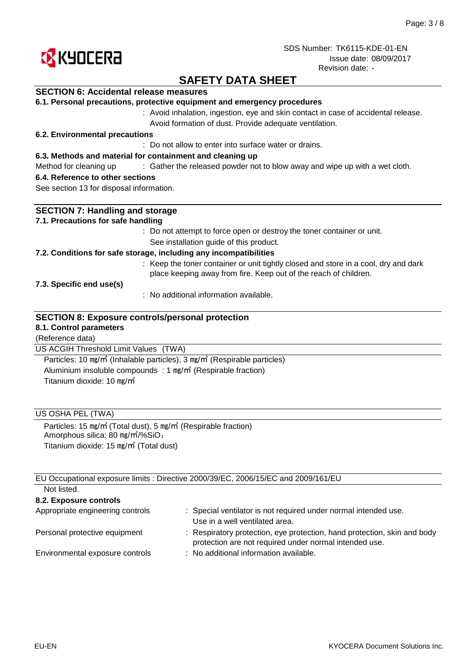

# **SAFETY DATA SHEET**

## **SECTION 6: Accidental release measures**

|  |  |  |  |  |  | 6.1. Personal precautions, protective equipment and emergency procedures |
|--|--|--|--|--|--|--------------------------------------------------------------------------|
|--|--|--|--|--|--|--------------------------------------------------------------------------|

: Avoid inhalation, ingestion, eye and skin contact in case of accidental release. Avoid formation of dust. Provide adequate ventilation.

### **6.2. Environmental precautions**

: Do not allow to enter into surface water or drains.

### **6.3. Methods and material for containment and cleaning up**

Method for cleaning up exclosive of the released powder not to blow away and wipe up with a wet cloth.

### **6.4. Reference to other sections**

See section 13 for disposal information.

| <b>SECTION 7: Handling and storage</b>                                                            |                                                                                     |  |  |  |  |
|---------------------------------------------------------------------------------------------------|-------------------------------------------------------------------------------------|--|--|--|--|
| 7.1. Precautions for safe handling                                                                |                                                                                     |  |  |  |  |
|                                                                                                   | : Do not attempt to force open or destroy the toner container or unit.              |  |  |  |  |
|                                                                                                   | See installation guide of this product.                                             |  |  |  |  |
|                                                                                                   | 7.2. Conditions for safe storage, including any incompatibilities                   |  |  |  |  |
|                                                                                                   | : Keep the toner container or unit tightly closed and store in a cool, dry and dark |  |  |  |  |
|                                                                                                   | place keeping away from fire. Keep out of the reach of children.                    |  |  |  |  |
| 7.3. Specific end use(s)                                                                          |                                                                                     |  |  |  |  |
|                                                                                                   | $\therefore$ No additional information available.                                   |  |  |  |  |
|                                                                                                   |                                                                                     |  |  |  |  |
| <b>SECTION 8: Exposure controls/personal protection</b>                                           |                                                                                     |  |  |  |  |
| 8.1. Control parameters                                                                           |                                                                                     |  |  |  |  |
| (Reference data)                                                                                  |                                                                                     |  |  |  |  |
| US ACGIH Threshold Limit Values (TWA)                                                             |                                                                                     |  |  |  |  |
| Particles: 10 mg/m <sup>3</sup> (Inhalable particles), 3 mg/m <sup>3</sup> (Respirable particles) |                                                                                     |  |  |  |  |
| Aluminium insoluble compounds : 1 mg/m <sup>3</sup> (Respirable fraction)                         |                                                                                     |  |  |  |  |
| Titanium dioxide: 10 mg/m                                                                         |                                                                                     |  |  |  |  |

### US OSHA PEL (TWA)

Amorphous silica: 80 mg/m<sup>2</sup>/%SiO<sub>2</sub> Titanium dioxide: 15 ㎎/㎥ (Total dust) Particles: 15 ㎎/㎥ (Total dust), 5 ㎎/㎥ (Respirable fraction)

EU Occupational exposure limits : Directive 2000/39/EC, 2006/15/EC and 2009/161/EU

#### : Special ventilator is not required under normal intended use. : Respiratory protection, eye protection, hand protection, skin and body : No additional information available. protection are not required under normal intended use. Not listed. **8.2. Exposure controls** Environmental exposure controls Personal protective equipment Appropriate engineering controls Use in a well ventilated area.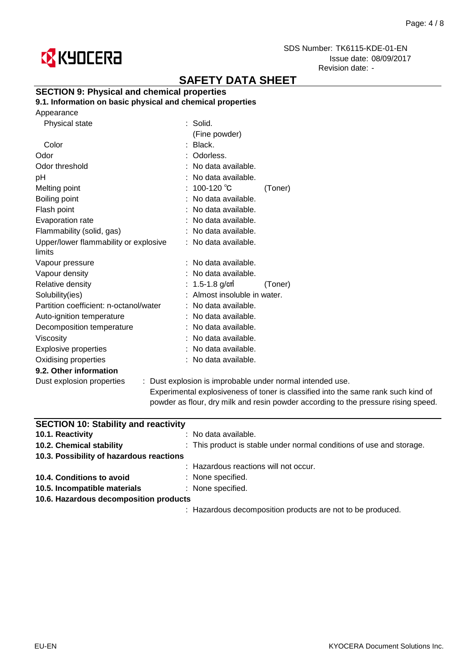

# **SAFETY DATA SHEET**

## **SECTION 9: Physical and chemical properties**

**9.1. Information on basic physical and chemical properties**

|  | Appearance |
|--|------------|
|--|------------|

| Physical state                         | $:$ Solid.                   |                                                                                 |
|----------------------------------------|------------------------------|---------------------------------------------------------------------------------|
|                                        | (Fine powder)                |                                                                                 |
| Color                                  | : Black.                     |                                                                                 |
| Odor                                   | : Odorless.                  |                                                                                 |
| Odor threshold                         | : No data available.         |                                                                                 |
| рH                                     | : No data available.         |                                                                                 |
| Melting point                          | : 100-120 ℃                  | (Toner)                                                                         |
| Boiling point                          | : No data available.         |                                                                                 |
| Flash point                            | : No data available.         |                                                                                 |
| Evaporation rate                       | : No data available.         |                                                                                 |
| Flammability (solid, gas)              | : No data available.         |                                                                                 |
| Upper/lower flammability or explosive  | : No data available.         |                                                                                 |
| limits                                 |                              |                                                                                 |
| Vapour pressure                        | : No data available.         |                                                                                 |
| Vapour density                         | : No data available.         |                                                                                 |
| Relative density                       | : 1.5-1.8 g/cm )             | (Toner)                                                                         |
| Solubility(ies)                        | : Almost insoluble in water. |                                                                                 |
| Partition coefficient: n-octanol/water | : No data available.         |                                                                                 |
| Auto-ignition temperature              | : No data available.         |                                                                                 |
| Decomposition temperature              | : No data available.         |                                                                                 |
| <b>Viscosity</b>                       | : No data available.         |                                                                                 |
| <b>Explosive properties</b>            | : No data available.         |                                                                                 |
| Oxidising properties                   | : No data available.         |                                                                                 |
| 9.2. Other information                 |                              |                                                                                 |
| Dust explosion properties              |                              | : Dust explosion is improbable under normal intended use.                       |
|                                        |                              | والمقارب والمتلأل والمتواط والمتواطئ والمتواطئ والمتحدث والمرابط المتماس ومارات |

Experimental explosiveness of toner is classified into the same rank such kind of powder as flour, dry milk and resin powder according to the pressure rising speed.

| <b>SECTION 10: Stability and reactivity</b> |                                                                      |
|---------------------------------------------|----------------------------------------------------------------------|
| 10.1. Reactivity                            | $:$ No data available.                                               |
| 10.2. Chemical stability                    | : This product is stable under normal conditions of use and storage. |
| 10.3. Possibility of hazardous reactions    |                                                                      |
|                                             | : Hazardous reactions will not occur.                                |
| 10.4. Conditions to avoid                   | : None specified.                                                    |
| 10.5. Incompatible materials                | : None specified.                                                    |
| 10.6. Hazardous decomposition products      |                                                                      |
|                                             | : Hazardous decomposition products are not to be produced.           |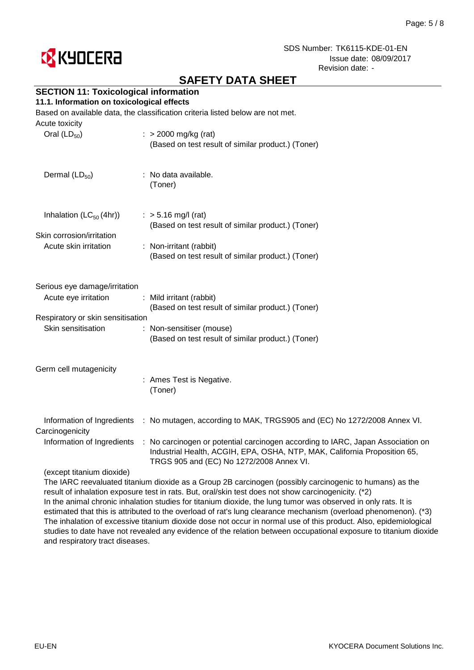

# **SAFETY DATA SHEET**

## **SECTION 11: Toxicological information**

### **11.1. Information on toxicological effects**

Based on available data, the classification criteria listed below are not met.

| Acute toxicity<br>Oral $(LD_{50})$                                                                               | $\therefore$ > 2000 mg/kg (rat)<br>(Based on test result of similar product.) (Toner)                                                                                                                                                                                               |
|------------------------------------------------------------------------------------------------------------------|-------------------------------------------------------------------------------------------------------------------------------------------------------------------------------------------------------------------------------------------------------------------------------------|
| Dermal (LD <sub>50</sub> )                                                                                       | : No data available.<br>(Toner)                                                                                                                                                                                                                                                     |
| Inhalation $(LC_{50}(4hr))$<br>Skin corrosion/irritation<br>Acute skin irritation                                | $:$ > 5.16 mg/l (rat)<br>(Based on test result of similar product.) (Toner)<br>: Non-irritant (rabbit)<br>(Based on test result of similar product.) (Toner)                                                                                                                        |
| Serious eye damage/irritation<br>Acute eye irritation<br>Respiratory or skin sensitisation<br>Skin sensitisation | : Mild irritant (rabbit)<br>(Based on test result of similar product.) (Toner)<br>: Non-sensitiser (mouse)<br>(Based on test result of similar product.) (Toner)                                                                                                                    |
| Germ cell mutagenicity                                                                                           | : Ames Test is Negative.<br>(Toner)                                                                                                                                                                                                                                                 |
| Information of Ingredients<br>Carcinogenicity<br>Information of Ingredients<br>(except titanium dioxide)         | : No mutagen, according to MAK, TRGS905 and (EC) No 1272/2008 Annex VI.<br>: No carcinogen or potential carcinogen according to IARC, Japan Association on<br>Industrial Health, ACGIH, EPA, OSHA, NTP, MAK, California Proposition 65,<br>TRGS 905 and (EC) No 1272/2008 Annex VI. |
|                                                                                                                  |                                                                                                                                                                                                                                                                                     |

The IARC reevaluated titanium dioxide as a Group 2B carcinogen (possibly carcinogenic to humans) as the result of inhalation exposure test in rats. But, oral/skin test does not show carcinogenicity. (\*2) In the animal chronic inhalation studies for titanium dioxide, the lung tumor was observed in only rats. It is estimated that this is attributed to the overload of rat's lung clearance mechanism (overload phenomenon). (\*3) The inhalation of excessive titanium dioxide dose not occur in normal use of this product. Also, epidemiological studies to date have not revealed any evidence of the relation between occupational exposure to titanium dioxide and respiratory tract diseases.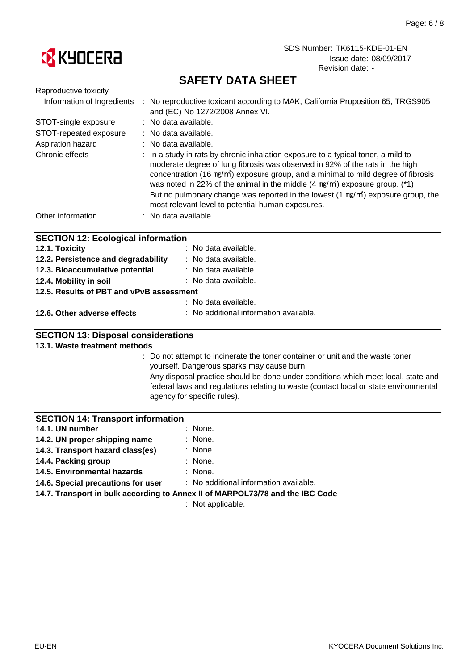

# **SAFETY DATA SHEET**

| Reproductive toxicity                     |                                                                                                                                                                                                                                                                                                                                                                                                                                                                                                                     |  |  |  |
|-------------------------------------------|---------------------------------------------------------------------------------------------------------------------------------------------------------------------------------------------------------------------------------------------------------------------------------------------------------------------------------------------------------------------------------------------------------------------------------------------------------------------------------------------------------------------|--|--|--|
| Information of Ingredients                | : No reproductive toxicant according to MAK, California Proposition 65, TRGS905<br>and (EC) No 1272/2008 Annex VI.                                                                                                                                                                                                                                                                                                                                                                                                  |  |  |  |
| STOT-single exposure                      | $:$ No data available.                                                                                                                                                                                                                                                                                                                                                                                                                                                                                              |  |  |  |
| STOT-repeated exposure                    | $:$ No data available.                                                                                                                                                                                                                                                                                                                                                                                                                                                                                              |  |  |  |
| Aspiration hazard                         | : No data available.                                                                                                                                                                                                                                                                                                                                                                                                                                                                                                |  |  |  |
| Chronic effects                           | : In a study in rats by chronic inhalation exposure to a typical toner, a mild to<br>moderate degree of lung fibrosis was observed in 92% of the rats in the high<br>concentration (16 mg/m <sup>3</sup> ) exposure group, and a minimal to mild degree of fibrosis<br>was noted in 22% of the animal in the middle $(4 \text{ mg/m}^3)$ exposure group. (*1)<br>But no pulmonary change was reported in the lowest (1 mg/m <sup>3</sup> ) exposure group, the<br>most relevant level to potential human exposures. |  |  |  |
| Other information                         | : No data available.                                                                                                                                                                                                                                                                                                                                                                                                                                                                                                |  |  |  |
| <b>SECTION 12: Ecological information</b> |                                                                                                                                                                                                                                                                                                                                                                                                                                                                                                                     |  |  |  |
| 12.1. Toxicity                            | : No data available.                                                                                                                                                                                                                                                                                                                                                                                                                                                                                                |  |  |  |
| 12.2. Persistence and degradability       | : No data available.                                                                                                                                                                                                                                                                                                                                                                                                                                                                                                |  |  |  |
| 12.3. Bioaccumulative potential           | : No data available.                                                                                                                                                                                                                                                                                                                                                                                                                                                                                                |  |  |  |

: No data available. **12.5. Results of PBT and vPvB assessment 12.4. Mobility in soil**

|  |  | : No data available. |
|--|--|----------------------|
|  |  |                      |

## **SECTION 13: Disposal considerations**

### **13.1. Waste treatment methods**

: Do not attempt to incinerate the toner container or unit and the waste toner yourself. Dangerous sparks may cause burn.

Any disposal practice should be done under conditions which meet local, state and federal laws and regulations relating to waste (contact local or state environmental agency for specific rules).

## **SECTION 14: Transport information**

| 14.1. UN number                                 | : None. |
|-------------------------------------------------|---------|
| 14.2. UN proper shipping name                   | : None. |
| $\overline{AB}$ Trensment because also algebral | . Nano  |

- : None. **14.3. Transport hazard class(es)**
- : None. **14.4. Packing group**
- : None. **14.5. Environmental hazards**

: No additional information available. **14.6. Special precautions for user**

**14.7. Transport in bulk according to Annex II of MARPOL73/78 and the IBC Code**

: Not applicable.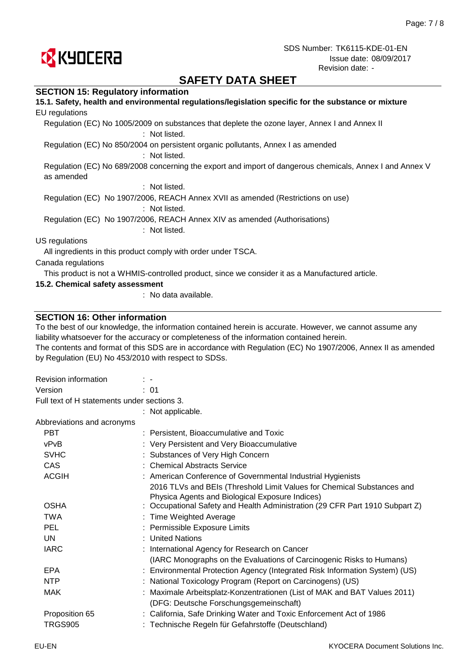

# **SAFETY DATA SHEET**

### **SECTION 15: Regulatory information**

| 15.1. Safety, health and environmental regulations/legislation specific for the substance or mixture                   |
|------------------------------------------------------------------------------------------------------------------------|
| EU regulations                                                                                                         |
| Regulation (EC) No 1005/2009 on substances that deplete the ozone layer, Annex I and Annex II<br>: Not listed.         |
| Regulation (EC) No 850/2004 on persistent organic pollutants, Annex I as amended<br>: Not listed.                      |
| Regulation (EC) No 689/2008 concerning the export and import of dangerous chemicals, Annex I and Annex V<br>as amended |
| : Not listed.                                                                                                          |
| Regulation (EC) No 1907/2006, REACH Annex XVII as amended (Restrictions on use)<br>: Not listed.                       |
| Regulation (EC) No 1907/2006, REACH Annex XIV as amended (Authorisations)<br>: Not listed.                             |
| US regulations                                                                                                         |
| All ingredients in this product comply with order under TSCA.                                                          |
| Canada regulations                                                                                                     |
| This product is not a WHMIS-controlled product, since we consider it as a Manufactured article.                        |
| 15.2. Chemical safety assessment                                                                                       |

: No data available.

### **SECTION 16: Other information**

To the best of our knowledge, the information contained herein is accurate. However, we cannot assume any liability whatsoever for the accuracy or completeness of the information contained herein.

The contents and format of this SDS are in accordance with Regulation (EC) No 1907/2006, Annex II as amended by Regulation (EU) No 453/2010 with respect to SDSs.

| Revision information                        | $\mathbb{R}^n$                                                                                                                |
|---------------------------------------------|-------------------------------------------------------------------------------------------------------------------------------|
| Version                                     | : 01                                                                                                                          |
| Full text of H statements under sections 3. |                                                                                                                               |
|                                             | : Not applicable.                                                                                                             |
| Abbreviations and acronyms                  |                                                                                                                               |
| <b>PBT</b>                                  | : Persistent, Bioaccumulative and Toxic                                                                                       |
| vPvB                                        | : Very Persistent and Very Bioaccumulative                                                                                    |
| <b>SVHC</b>                                 | Substances of Very High Concern                                                                                               |
| <b>CAS</b>                                  | : Chemical Abstracts Service                                                                                                  |
| <b>ACGIH</b>                                | : American Conference of Governmental Industrial Hygienists                                                                   |
|                                             | 2016 TLVs and BEIs (Threshold Limit Values for Chemical Substances and                                                        |
| <b>OSHA</b>                                 | Physica Agents and Biological Exposure Indices)<br>Occupational Safety and Health Administration (29 CFR Part 1910 Subpart Z) |
| <b>TWA</b>                                  | : Time Weighted Average                                                                                                       |
| <b>PEL</b>                                  | : Permissible Exposure Limits                                                                                                 |
| UN                                          | : United Nations                                                                                                              |
| <b>IARC</b>                                 | : International Agency for Research on Cancer                                                                                 |
|                                             | (IARC Monographs on the Evaluations of Carcinogenic Risks to Humans)                                                          |
| <b>EPA</b>                                  | : Environmental Protection Agency (Integrated Risk Information System) (US)                                                   |
| <b>NTP</b>                                  | National Toxicology Program (Report on Carcinogens) (US)                                                                      |
| <b>MAK</b>                                  | Maximale Arbeitsplatz-Konzentrationen (List of MAK and BAT Values 2011)                                                       |
|                                             | (DFG: Deutsche Forschungsgemeinschaft)                                                                                        |
| Proposition 65                              | : California, Safe Drinking Water and Toxic Enforcement Act of 1986                                                           |
| <b>TRGS905</b>                              | : Technische Regeln für Gefahrstoffe (Deutschland)                                                                            |